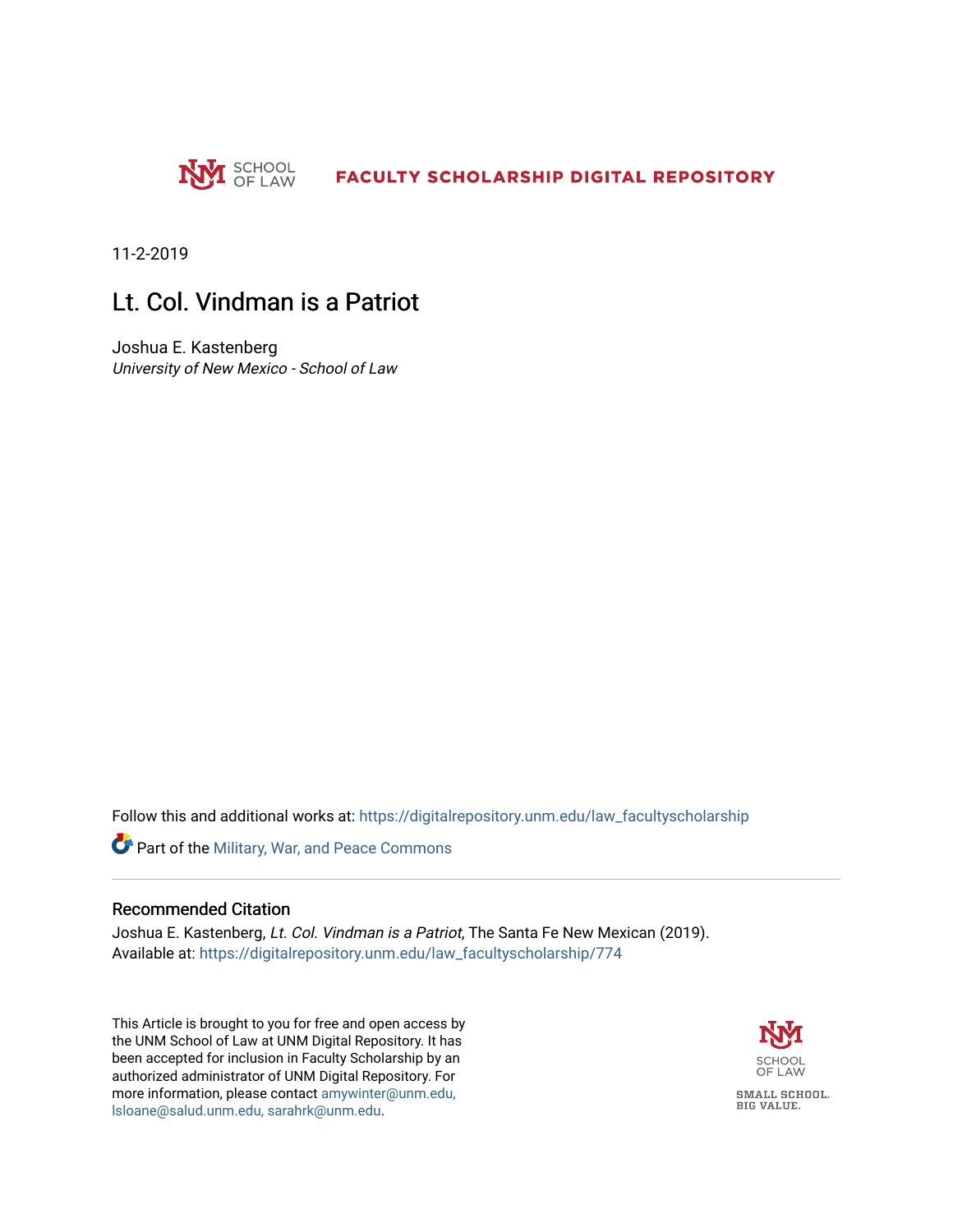

11-2-2019

### Lt. Col. Vindman is a Patriot

Joshua E. Kastenberg University of New Mexico - School of Law

Follow this and additional works at: [https://digitalrepository.unm.edu/law\\_facultyscholarship](https://digitalrepository.unm.edu/law_facultyscholarship?utm_source=digitalrepository.unm.edu%2Flaw_facultyscholarship%2F774&utm_medium=PDF&utm_campaign=PDFCoverPages) 

Part of the [Military, War, and Peace Commons](http://network.bepress.com/hgg/discipline/861?utm_source=digitalrepository.unm.edu%2Flaw_facultyscholarship%2F774&utm_medium=PDF&utm_campaign=PDFCoverPages) 

#### Recommended Citation

Joshua E. Kastenberg, Lt. Col. Vindman is a Patriot, The Santa Fe New Mexican (2019). Available at: [https://digitalrepository.unm.edu/law\\_facultyscholarship/774](https://digitalrepository.unm.edu/law_facultyscholarship/774?utm_source=digitalrepository.unm.edu%2Flaw_facultyscholarship%2F774&utm_medium=PDF&utm_campaign=PDFCoverPages) 

This Article is brought to you for free and open access by the UNM School of Law at UNM Digital Repository. It has been accepted for inclusion in Faculty Scholarship by an authorized administrator of UNM Digital Repository. For more information, please contact [amywinter@unm.edu,](mailto:amywinter@unm.edu,%20lsloane@salud.unm.edu,%20sarahrk@unm.edu)  [lsloane@salud.unm.edu, sarahrk@unm.edu.](mailto:amywinter@unm.edu,%20lsloane@salud.unm.edu,%20sarahrk@unm.edu)

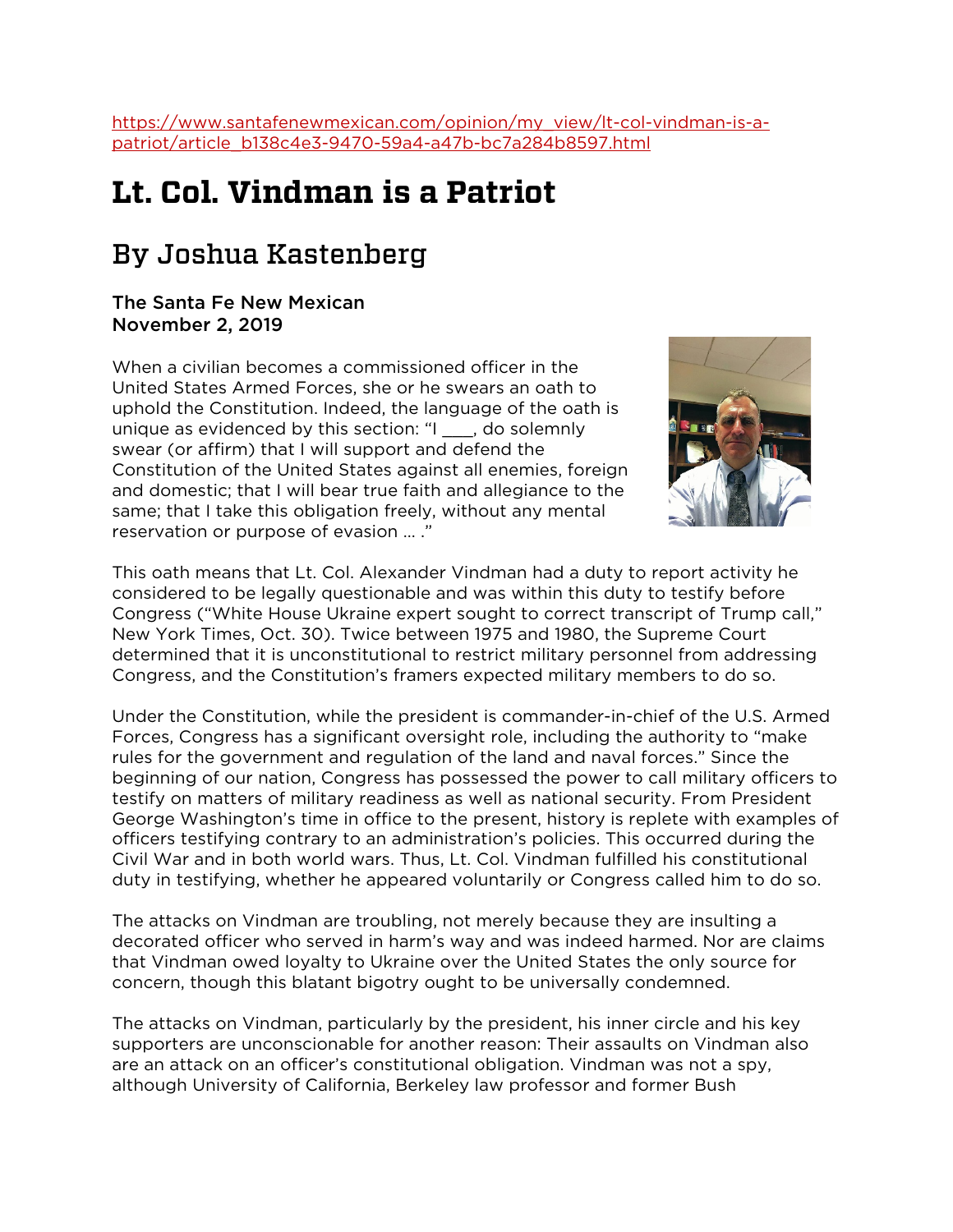[https://www.santafenewmexican.com/opinion/my\\_view/lt-col-vindman-is-a](https://www.santafenewmexican.com/opinion/my_view/lt-col-vindman-is-a-patriot/article_b138c4e3-9470-59a4-a47b-bc7a284b8597.html)[patriot/article\\_b138c4e3-9470-59a4-a47b-bc7a284b8597.html](https://www.santafenewmexican.com/opinion/my_view/lt-col-vindman-is-a-patriot/article_b138c4e3-9470-59a4-a47b-bc7a284b8597.html)

# **Lt. Col. Vindman is a Patriot**

## By Joshua Kastenberg

### The Santa Fe New Mexican November 2, 2019

When a civilian becomes a commissioned officer in the United States Armed Forces, she or he swears an oath to uphold the Constitution. Indeed, the language of the oath is unique as evidenced by this section: "I \_\_\_, do solemnly swear (or affirm) that I will support and defend the Constitution of the United States against all enemies, foreign and domestic; that I will bear true faith and allegiance to the same; that I take this obligation freely, without any mental reservation or purpose of evasion … ."



This oath means that Lt. Col. Alexander Vindman had a duty to report activity he considered to be legally questionable and was within this duty to testify before Congress ("White House Ukraine expert sought to correct transcript of Trump call," New York Times, Oct. 30). Twice between 1975 and 1980, the Supreme Court determined that it is unconstitutional to restrict military personnel from addressing Congress, and the Constitution's framers expected military members to do so.

Under the Constitution, while the president is commander-in-chief of the U.S. Armed Forces, Congress has a significant oversight role, including the authority to "make rules for the government and regulation of the land and naval forces." Since the beginning of our nation, Congress has possessed the power to call military officers to testify on matters of military readiness as well as national security. From President George Washington's time in office to the present, history is replete with examples of officers testifying contrary to an administration's policies. This occurred during the Civil War and in both world wars. Thus, Lt. Col. Vindman fulfilled his constitutional duty in testifying, whether he appeared voluntarily or Congress called him to do so.

The attacks on Vindman are troubling, not merely because they are insulting a decorated officer who served in harm's way and was indeed harmed. Nor are claims that Vindman owed loyalty to Ukraine over the United States the only source for concern, though this blatant bigotry ought to be universally condemned.

The attacks on Vindman, particularly by the president, his inner circle and his key supporters are unconscionable for another reason: Their assaults on Vindman also are an attack on an officer's constitutional obligation. Vindman was not a spy, although University of California, Berkeley law professor and former Bush